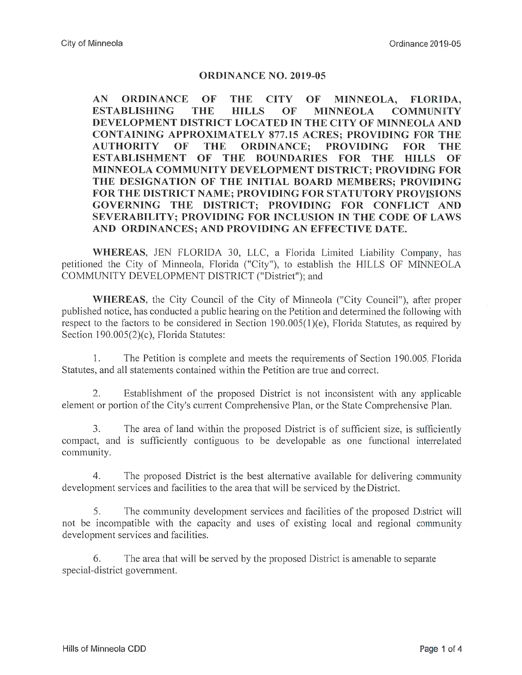## **ORDINANCE NO. 2019-05**

**AN ORDINANCE OF THE CITY OF MINNEOLA, FLORIDA, ESTABLISHING THE HILLS OF MINNEOLA COMMUNITY DEVELOPMENT DISTRICT LOCATED IN THE CITY OF MINNEOLA AND CONTAINING APPROXIMATELY 877.15 ACRES; PROVIDING FOR THE AUTHORITY OF THE ORDINANCE; PROVIDING FOR THE ESTABLISHMENT OF THE BOUNDARIES FOR THE HILLS OF MINNEOLA COMMUNITY DEVELOPMENT DISTRICT; PROVIDING FOR THE DESIGNATION OF THE INITIAL BOARD MEMBERS; PROVIDING FOR THE DISTRICT NAME; PROVIDING FOR STATUTORY PROVISIONS GOVERNING THE DISTRICT; PROVIDING FOR CONFLICT AND SEVERABILITY; PROVIDING FOR INCLUSION IN THE CODE OF LAWS AND ORDINANCES; AND PROVIDING AN EFFECTIVE DATE.** 

**WHEREAS,** JEN FLORIDA 30, LLC, a Florida Limited Liability Company, has petitioned the City of Minneola, Florida ("City"), to establish the HILLS OF MINNEOLA COMMUNITY DEVELOPMENT DISTRICT ("District"); and

**WHEREAS,** the City Council of the City of Minneola ("City Council"), after proper published notice, has conducted a public hearing on the Petition and determined the following with respect to the factors to be considered in Section  $190.005(1)(e)$ , Florida Statutes, as required by Section 190.005(2)(c), Florida Statutes:

1. The Petition is complete and meets the requirements of Section 190.005, Florida Statutes, and all statements contained within the Petition are true and correct.

2. Establishment of the proposed District is not inconsistent with any applicable element or portion of the City's current Comprehensive Plan, or the State Comprehensive Plan.

3. The area of land within the proposed District is of sufficient size, is sufficiently compact, and is sufficiently contiguous to be developable as one functional interrelated community.

4. The proposed District is the best alternative available for delivering community development services and facilities to the area that will be serviced by the District.

5. The community development services and facilities of the proposed District will not be incompatible with the capacity and uses of existing local and regional community development services and facilities.

6. The area that will be served by the proposed District is amenable to separate special-district government.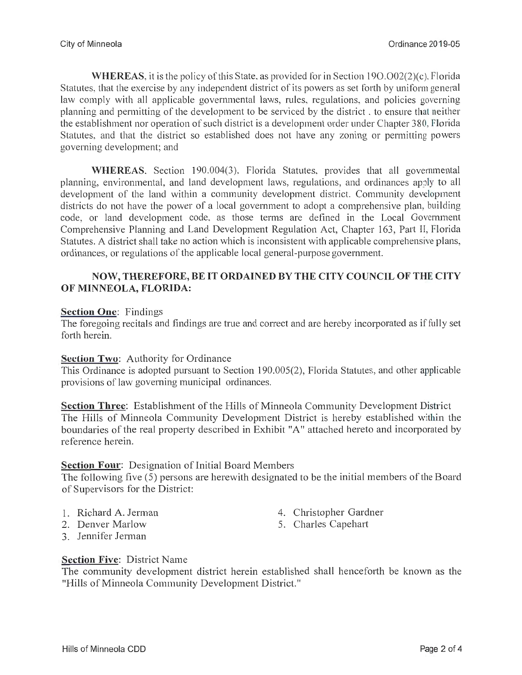WHEREAS, it is the policy of this State, as provided for in Section 190.002(2)(c), Florida Statutes, that the exercise by any independent district of its powers as set forth by uniform general law comply with all applicable governmental laws, rules, regulations, and policies governing planning and permitting of the development to be serviced by the district , to ensure that neither the establishment nor operation of such district is a development order under Chapter 380, Florida Statutes, and that the district so established does not have any zoning or permitting powers governing development; and

**WHEREAS,** Section 190.004(3), Florida Statutes, provides that all governmental planning, environmental, and land development laws, regulations, and ordinances apply to all development of the land within a community development district. Community development districts do not have the power of a local government to adopt a comprehensive plan, building code, or land development code, as those terms are defined in the Local Government Comprehensive Planning and Land Development Regulation Act, Chapter 163, Part II, Florida Statutes. A district shall take no action which is inconsistent with applicable comprehensive plans, ordinances, or regulations of the applicable local general-purpose government.

## **NOW, THEREFORE, BE IT ORDAINED BY THE CITY COUNCIL OF THE CITY OF MINNEOLA, FLORIDA:**

#### **Section One:** Findings

The foregoing recitals and findings are true and correct and are hereby incorporated as if fully set forth herein.

#### **Section Two:** Authority for Ordinance

This Ordinance is adopted pursuant to Section 190.005(2), Florida Statutes, and other applicable provisions of law governing municipal ordinances.

**Section Three:** Establishment of the Hills of Minneola Community Development District The Hills of Minneola Community Development District is hereby established within the boundaries of the real property described in Exhibit "A" attached hereto and incorporated by reference herein.

# **Section Four:** Designation of Initial Board Members

The following five (5) persons are herewith designated to be the initial members of the Board of Supervisors for the District:

- 
- 
- 3. Jennifer Jerman
- 1. Richard A. Jerman 4. Christopher Gardner
- 2. Denver Marlow 5. Charles Capehart

# **Section Five:** District Name

The community development district herein established shall henceforth be known as the "Hills of Minneola Community Development District."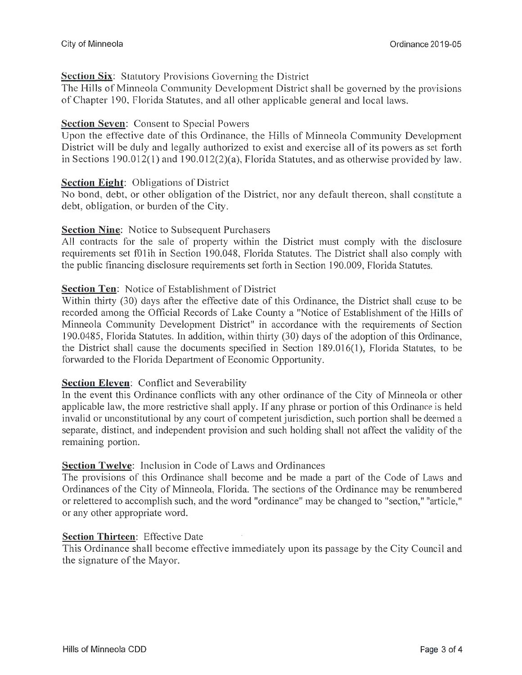## **Section Six:** Statutory Provisions Governing the District

The Hills of Minneola Community Development District shall be governed by the provisions of Chapter 190, Florida Statutes, and all other applicable general and local laws.

## **Section Seven:** Consent to Special Powers

Upon the effective date of this Ordinance, the Hills of Minneola Community Development District will be duly and legally authorized to exist and exercise all of its powers as set forth in Sections 190.012(1) and 190.012(2)(a), Florida Statutes, and as otherwise provided by law.

#### **Section Eight:** Obligations of District

No bond, debt, or other obligation of the District, nor any default thereon, shall constitute a debt, obligation, or burden of the City.

#### **Section Nine:** Notice to Subsequent Purchasers

All contracts for the sale of property within the District must comply with the disclosure requirements set f01ih in Section 190.048, Florida Statutes. The District shall also comply with the public financing disclosure requirements set forth in Section 190.009, Florida Statutes.

#### **Section Ten:** Notice of Establishment of District

Within thirty (30) days after the effective date of this Ordinance, the District shall cause to be recorded among the Official Records of Lake County a "Notice of Establishment of the Hills of Minneola Community Development District" in accordance with the requirements of Section 190.0485, Florida Statutes. In addition, within thirty (30) days of the adoption of this Ordinance, the District shall cause the documents specified in Section 189.016(1), Florida Statutes, to be forwarded to the Florida Department of Economic Opportunity.

# **Section Eleven:** Conflict and Severability

In the event this Ordinance conflicts with any other ordinance of the City of Minneola or other applicable law, the more restrictive shall apply. If any phrase or portion of this Ordinance is held invalid or unconstitutional by any court of competent jurisdiction, such portion shall be deemed a separate, distinct, and independent provision and such holding shall not affect the validity of the remaining portion.

# **Section Twelve:** Inclusion in Code of Laws and Ordinances

The provisions of this Ordinance shall become and be made a part of the Code of Laws and Ordinances of the City of Minneola, Florida. The sections of the Ordinance may be renumbered or relettered to accomplish such, and the word "ordinance" may be changed to "section," "article," or any other appropriate word.

#### **Section Thirteen:** Effective Date

This Ordinance shall become effective immediately upon its passage by the City Council and the signature of the Mayor.